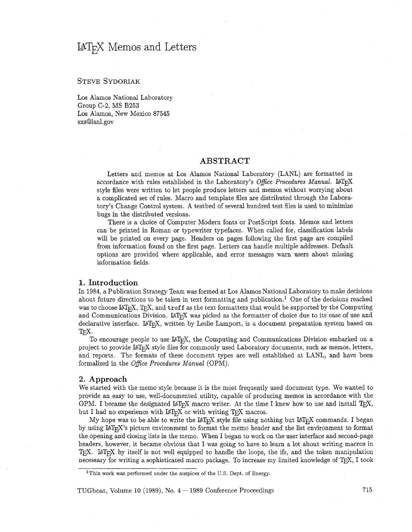# IAT<sub>E</sub>X Memos and Letters

# **STEVE SYDORIAK**

Los Alamos National Laboratory Group C-2, MS B253 Los Alamos, New Mexico 87545 sxs@lanl.gov

# ABSTRACT

Letters and memos at Los Alamos National Laboratory (LANL) are formatted in accordance with rules established in the Laboratory's *Office Procedures Manual.* LAT<sub>EX</sub> style files were written to let people produce letters and memos without worrying about a complicated set of rules. Macro and template files are distributed through the Laboratory's Change Control system. **A** testbed of several hundred test files is used to minimize bugs in the distributed versions.

There is a choice of Computer Modern fonts or PostScript fonts. Memos and letters can be printed in Roman or typewriter typefaces. When called for, classification labels will be printed on every page. Headers on pages following the first page are compiled from information found on the first page. Letters can handle multiple addresses. Default options are provided where applicable, and error messages warn users about missing information fields.

#### 1. Introduction

In 1984, a Publication Strategy Team was formed at Los Alamos National Laboratory to make decisions about future directions to be taken in text formatting and publication.<sup>1</sup> One of the decisions reached was to choose IAT<sub>E</sub>X, T<sub>E</sub>X, and troff as the text formatters that would be supported by the Computing and Communications Division. LAT<sub>EX</sub> was picked as the formatter of choice due to its ease of use and declarative interface. LAT<sub>E</sub>X, written by Leslie Lamport, is a document preparation system based on T<sub>E</sub>X.<br>The speculation and the use  $M_{\text{C}}$ <sup>X</sup> the Computing and Computiesting Division ambalized on a

To encourage people to use IAT<sub>E</sub>X, the Computing and Communications Division embarked on a project to provide IAT<sub>E</sub>X style files for commonly used Laboratory documents, such as memos, letters, and reports. The formats of these document types are well established at LANL, and have been formalized in the *Ofice Procedures Manual* (OPM).

#### 2. Approach

We started with the memo style because it is the most frequently used document type. We wanted to provide an easy to use, well-documented utility, capable of producing memos in accordance with the OPM. I became the designated  $I\llap{/}\!\!\!\perp_{\rm F}$ X macro writer. At the time I knew how to use and install T<sub>E</sub>X, We started with the memo style because it is the most frequently used<br>provide an easy to use, well-documented utility, capable of producing<br>OPM. I became the designated  $I\llap{/E}K$  macro writer. At the time I kn<br>but I had

My hope was to be able to write the LAT<sub>F</sub>X style file using nothing but LAT<sub>F</sub>X commands. I began by using IAT<sub>E</sub>X's picture environment to format the memo header and the list environment to format the opening and closing lists in the memo. When I began to work on the user interface and second-page headers, however, it became obvious that I was going to have to learn a lot about writing macros in  $T_{\rm F}X$ . LAT<sub>F</sub>X by itself is not well equipped to handle the loops, the ifs, and the token manipulation necessary for writing a sophisticated macro package. To increase my limited knowledge of TEX, I took

 $TUGboat, Volume 10 (1989), No. 4 - 1989 Conference Proceedings  $715$$ 

<sup>&</sup>lt;sup>1</sup>This work was performed under the auspices of the U.S. Dept. of Energy.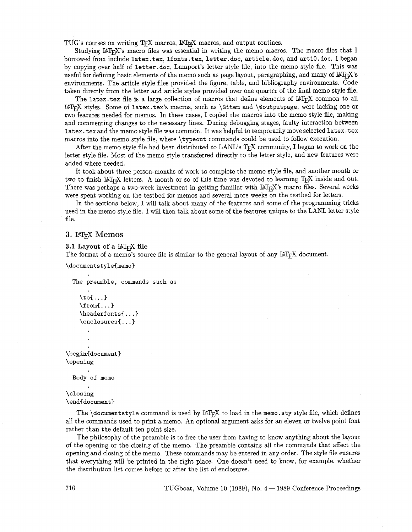TUG's courses on writing TEX macros,  $M_{\text{E}}$ X macros, and output routines.

Studying IAT<sub>E</sub>X's macro files was essential in writing the memo macros. The macro files that I borrowed from include latex. tex, If onts. tex, letter .doc, article .doc, and art 10. doc. I began by copying over half of letter.doc, Lamport's letter style file, into the memo style file. This was useful for defining basic elements of the memo such as page layout, paragraphing, and many of IAT<sub>F</sub>X's environments. The article style files provided the figure, table, and bibliography environments. Code taken directly from the letter and article styles provided over one quarter of the final memo style file.

The latex.tex file is a large collection of macros that define elements of  $\mathbb{M}$ <sub>F $\mathbb{R}$ </sub> common to all  $\LaTeX\ styles. Some of later.text's macros, such as \@item and \@outputpage, were lacking one or$ two features needed for memos. In these cases, I copied the macros into the memo style file, making and commenting changes to the necessary lines. During debugging stages, faulty interaction between latex. tex and the memo style file was common. It was helpful to temporarily move selected 1atex.tex macros into the memo style file, where \typeout commands could be used to follow execution.

After the memo style file had been distributed to LANL's TEX community, I began to work on the letter style file. Most of the memo style transferred directly to the letter style, and new features were added where needed.

It took about three person-months of work to complete the memo style file, and another month or two to finish  $\mathbb{I}$ F<sub>F</sub>X letters. A month or so of this time was devoted to learning T<sub>E</sub>X inside and out. There was perhaps a two-week investment in getting familiar with LAT<sub>E</sub>X's macro files. Several weeks were spent working on the testbed for memos and several more weeks on the testbed for letters.

In the sections below, I will talk about many of the features and some of the programming tricks used in the memo style file. I will then talk about some of the features unique to the LANL letter style file.

# 3. LAT<sub>E</sub>X Memos

#### **3.1 Layout of a LAT<sub>E</sub>X file**

The format of a memo's source file is similar to the general layout of any IAT<sub>E</sub>X document.

```
\documentstyle{memo}
```

```
The preamble, commands such as 
    \to \cdot \cdot \cdot\forallfrom{...}
    \headerfonts{...}
    \enclosures{...}
\begin{document}
\opening
  Body of memo
```
# \closing

```
\end{document}
```
The  $\dot{\text{documentstyle}}$  command is used by  $\text{MEx}$  to load in the memo. sty style file, which defines all the commands used to print a memo. An optional argument asks for an eleven or twelve point font rather than the default ten point size.

The philosophy of the preamble is to free the user from having to know anything about the layout of the opening or the closing of the memo. The preamble contains all the commands that affect the opening and closing of the memo. These commands may be entered in any order. The style file ensures that everything will be printed in the right place. One doesn't need to know, for example, whether the distribution list comes before or after the list of enclosures.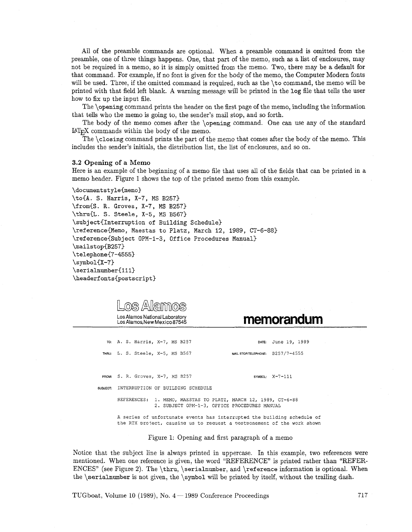All of the preamble commands are optional. When a preamble command is omitted from the preamble, one of three things happens. One, that part of the memo, such as a list of enclosures, may not be required in a memo, so it is simply omitted from the memo. Two, there may be a default for that command. For example, if no font is given for the body of the memo, the Computer Modern fonts will be used. Three, if the omitted command is required, such as the \to command, the memo will be printed with that field left blank. A warning message will be printed in the log file that tells the user how to fix up the input file.

The \opening command prints the header on the first page of the memo, including the information that tells who the memo is going to, the sender's mail stop, and so forth.

The body of the memo comes after the \opening command. One can use any of the standard  $IAT<sub>F</sub>X$  commands within the body of the memo.

The \closing command prints the part of the memo that comes after the body of the memo. This includes the sender's initials, the distribution list, the list of enclosures, and so on.

#### **3.2 Opening** of a Memo

Here is **an** example of the beginning of a memo file that uses all of the fields that can be printed in a memo header. Figure 1 shows the top of the printed memo from this example.

\documentstyle(memo) \to(A. S. Harris, X-7, MS B257) \from(S. R. Groves, X-7, MS B257) \thru(L. S. Steele, X-5, MS B567) \subject(Interruption of Building Schedule) \reference(Memo, Maestas to Platz, March 12, 1989, CT-6-88) \reference(Subject OPM-1-3, Office Procedures Manual) \mailstop(B257) \telephone(7-4555)  $\sum\delta(Y-7)$ \serialnumber(lll) **\headerfonts(postscript)** 

| OS Allaimos<br>Los Alamos National Laboratory<br>Los Alamos New Mexico 87545 | memorandum                                                                                                                                         |
|------------------------------------------------------------------------------|----------------------------------------------------------------------------------------------------------------------------------------------------|
| TO: A. S. Harris, X-7, MS B257                                               | DATE: June 19, 1989                                                                                                                                |
| THRU: L. S. Steele, X-5, MS B567                                             | MAIL STOP/TELEPHONE: B257/7-4555                                                                                                                   |
| FROM: S. R. Groves, X-7, MS B257                                             | SYMBOL: $X-7-111$                                                                                                                                  |
| SUBJECT: INTERRUPTION OF BUILDING SCHEDULE                                   |                                                                                                                                                    |
| REFERENCES:<br>2. SUBJECT OPM-1-3, OFFICE PROCEDURES MANUAL                  | 1. MEMO, MAESTAS TO PLATZ, MARCH 12, 1989, CT-6-88                                                                                                 |
|                                                                              | A series of unfortunate events has interrupted the building schedule of<br>the RTX project, causing us to request a postponement of the work shown |

Figure 1: Opening and first paragraph of a memo

Notice that the subject line is always printed in uppercase. In this example, two references were mentioned. When one reference is given, the word "REFERENCE" is printed rather than "REFER-ENCES" (see Figure 2). The \thru, \serialnumber, and \reference information is optional. When the \serialnumber is not given, the \symbol will be printed by itself, without the trailing dash.

TUGboat, Volume 10 (1989), No.  $4-1989$  Conference Proceedings  $717$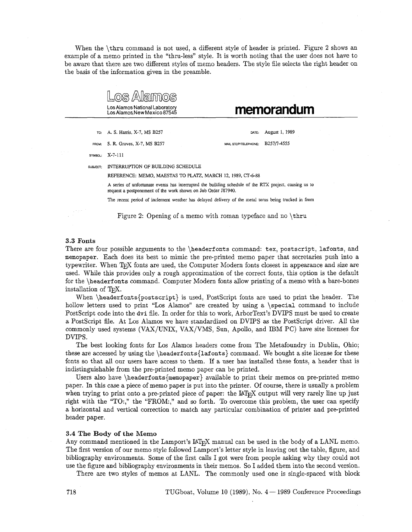When the \thru command is not used, a different style of header is printed. Figure 2 shows an example of a memo printed in the "thru-less" style. It is worth noting that the user does not have to be aware that there are two different styles of memo headers. The style file selects the right header on the basis of the information given in the preamble.

Los Alamos National Laboratory memorandum TO FROM **SYMBOL**  SUBJECT A. S. Harris, X-7, MS B257 **OATE:** August 1, 1989 S. R. Groves, X-7, MS B257 MAIL STOP/TELEPHONE: B257/7-4555 X-7-111 INTERRUPTION OF BUILDING SCHEDULE REFERENCE: MEMO, **MAESTAS** TO **PLATZ,** MARCH 12, 1989, CT-6-88 A series of unfortunate events has interrupted the building schedule of the RTX project, causing us to request a postponement of the work shown on Job Order J87940. The recent period of inclement weather has delayed delivery of the metal torus being trucked in from Figure 2: Opening of a memo with roman typeface and no \thru

#### **3.3 Fonts**

There are four possible arguments to the \headerfonts command: tex, postscript, lafonts, and memopaper. Each does its best to mimic the pre-printed memo paper that secretaries push into a typewriter. When T<sub>F</sub>X fonts are used, the Computer Modern fonts closest in appearance and size are used. While this provides only a rough approximation of the correct fonts, this option is the default for the \headerf onts command. Computer Modern fonts allow printing of a memo with a bare-bones installation of T<sub>EX</sub>.

When **\headerfonts{postscript}** is used, PostScript fonts are used to print the header. The hollow letters used to print "Los Alamos" are created by using a \special command to include Postscript code into the dvi file. In order for this to work, ArborText's DVIPS must be used to create a Postscript file. At Los Alamos we have standardized on DVIPS as the Postscript driver. All the commonly used systems (VAX/UNIX, VAX/VMS, Sun, Apollo, and IBM PC) have site licenses for DVIPS.

The best looking fonts for Los Alamos headers come from The Metafoundry in Dublin, Ohio; these are accessed by using the  $\heasuredangle$ 1afonts{1afonts} command. We bought a site license for these fonts so that all our users have access to them. If a user has installed these fonts, a header that is indistinguishable from the pre-printed memo paper can be printed.

Users also have  $\heasuredangle$  available to print their memos on pre-printed memos paper. In this case a piece of memo paper is put into the printer. Of course, there is usually a problem when trying to print onto a pre-printed piece of paper: the LAT<sub>E</sub>X output will very rarely line up just right with the "TO:," the "FROM:," and so forth. To overcome this problem, the user can specify a horizontal and vertical correction to match any particular combination of printer and pre-printed header paper.

#### **3.4 The Body of the Memo**

Any command mentioned in the Lamport's IAT<sub>E</sub>X manual can be used in the body of a LANL memo. The first version of our memo style followed Lamport's letter style in leaving out the table, figure, and bibliography environments. Some of the first calls I got were from people asking why they could not use the figure and bibliography environments in their memos. So I added them into the second version.

There are two styles of memos at LANL. The commonly used one is single-spaced with block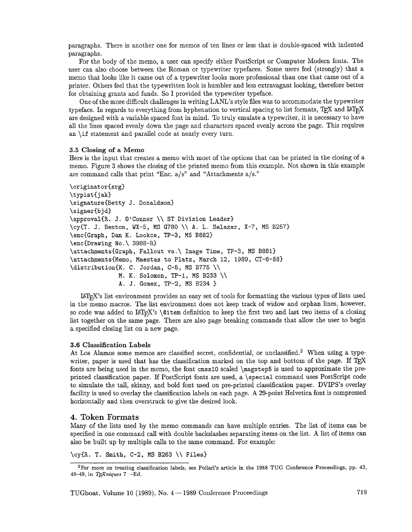paragraphs. There is another one for memos of ten lines or less that is double-spaced with indented paragraphs.

For the body of the memo, a user can specify either Postscript or Computer Modern fonts. The user can also choose between the Roman or typewriter typefaces. Some users feel (strongly) that a memo that looks like it came out of a typewriter looks more professional than one that came out of a printer. Others feel that the typewritten look is humbler and less extravagant looking, therefore better for obtaining grants and funds. So I provided the typewriter typeface.

One of the more difficult challenges in writing LANL's style files was to accommodate the typewriter typeface. In regards to everything from hyphenation to vertical spacing to list formats, TEX and  $I\!\!A\!T\!F\!X$ are designed with a variable spaced font in mind. To truly emulate a typewriter, it is necessary to have all the lines spaced evenly down the page and characters spaced evenly across the page. This requires an **\if** statement and parallel code at nearly every turn.

#### **3.5 Closing of a** Memo

Here is the input that creates a memo with most of the options that can be printed in the closing of a memo. Figure **3** shows the closing of the printed memo from this example. Not shown in this example are command calls that print "Enc.  $a/s$ " and "Attachments  $a/s$ ."

```
\originat or(srg)
```
**\typist(jak) \signature{Betty J** . **Donaldson} \signer{bjd) \approvalCR. J. 07Conner** \\ **ST Division Leader) \cy(T. J. Benton, WX-5, MS G780** \\ **A. L. Salazar, X-7, MS B257) \encCGraph, Dan K. Lookce, TP-3, MS B882)**  \enc{Drawing No.\ 3988-R} \attachments{Graph, Fallout vs.\ Image Time, TP-3, MS B881} \attachments{Memo, Maestas to Platz, March 12, 1989, CT-6-88} **\distribution(K. C. Jordan, C-5, MS B775** \\ **M. K. Solomon, TP-1, MS B233** \\

**A. J. Gomez, TP-2, MS B234** 3

UTEX'S list environment provides an easy set of tools for formatting the various types of lists used in the memo macros. The list environment does not keep track of widow and orphan lines, however, so code was added to LAT<sub>E</sub>X's **\@item** definition to keep the first two and last two items of a closing list together on the same page. There are also page breaking commands that allow the user to begin a specified closing list on a new page.

#### **3.6 Classification Labels**

At Los Alamos some memos are classified secret, confidential, or unclassified.<sup>2</sup> When using a typewriter, paper is used that has the classification marked on the top and bottom of the page. If TFX fonts are being used in the memo, the font **cmssl0** scaled **\magstep5** is used to approximate the preprinted classification paper. If PostScript fonts are used, a **\special command uses PostScript** code to simulate the tall, skinny, and bold font used on pre-printed classification paper. DVIPS's overlay facility is used to overlay the classification labels on each page. A 29-point Helvetica font is compressed horizontally and then overstruck to give the desired look.

### 4. Token Formats

Many of the lists used by the memo commands can have multiple entries. The list of items can be specified in one command call with double backslashes separating items on the list. **A** list of items can also be built up by multiple calls to the same command. For example:

**\cy(R. T. Smith, C-2, MS B263** \\ **Files)** 

TUGboat, Volume 10 (1989), No.  $4-1989$  Conference Proceedings  $719$ 

 $2F$ or more on treating classification labels, see Pollari's article in the 1988 TUG Conference Proceedings, pp. 43, 48-49, in TEXniques 7 -Ed.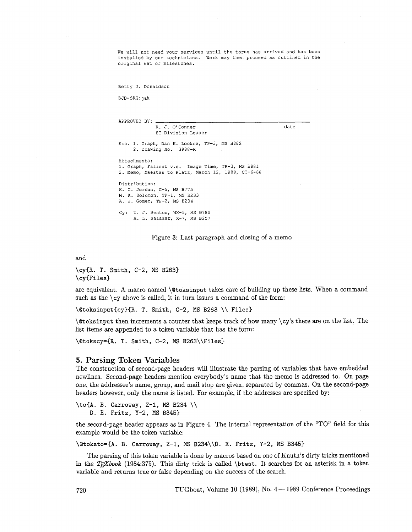We will not need your services until the torus has arrived and has been installed by our technicians. Work may then proceed as outlined in the original set of milestones.

Betty J. Donaldson

BJD-SRG:jak

| APPROVED BY:                                                                                                           |      |
|------------------------------------------------------------------------------------------------------------------------|------|
| R. J. O'Conner<br>ST Division Leader                                                                                   | date |
| Enc. 1. Graph, Dan K. Lookce, TP-3, MS B882<br>2. Drawing No. 3988-R                                                   |      |
| Attachments:<br>1. Graph, Faliout v.s. Image Time, TP-3, MS B881<br>2. Memo, Maestas to Platz, March 12, 1989, CT-6-88 |      |
| Distribution:<br>K. C. Jordan, C-5, MS B775<br>M. K. Solomon, TP-1, MS B233<br>A. J. Gomez, TP-2, MS B234              |      |
| Cy: T. J. Benton, WX-5, MS G780<br>A. L. Salazar, X-7, MS B257                                                         |      |

Figure 3: Last paragraph and closing of a memo

and

\cy(R. T. Smith, C-2, MS B263) \cy<Files)

are equivalent. A macro named *\@toksinput takes care of building up these lists*. When a command such as the  $\cy$  above is called, it in turn issues a command of the form:

\Qtoksinput(cy)(R. T. Smith, C-2, MS B263 \\ Files)

 $\cdot$  \@toksinput then increments a counter that keeps track of how many  $\cy$ 's there are on the list. The list items are appended to a token variable that has the form:

\@tokscy={R. T. Smith, C-2, MS B263\\Files)

#### 5. Parsing Token Variables

The construction of second-page headers will illustrate the parsing of variables that have embedded newlines. Second-page headers mention everybody's name that the memo is addressed to. On page one, the addressee's name, group, and mail stop are given, separated by commas. On the second-page headers however, only the name is listed. For example, if the addresses are specified by:

```
\toiA. B. Carroway, Z-I, MS B234 \\ 
    D. E. Fritz, Y-2, MS B345)
```
the second-page header appears as in Figure 4. The internal representation of the "TO" field for this example would be the token variable:

\@toksto=C~. B. Carroway, **Z-1,** MS B234\\D. E. Fritz, Y-2, MS B345)

The parsing of this token variable is done by macros based on one of Knuth's dirty tricks mentioned in the *T<sub>E</sub>Xbook* (1984:375). This dirty trick is called \btest. It searches for an asterisk in a token variable and returns true or false depending on the success of the search.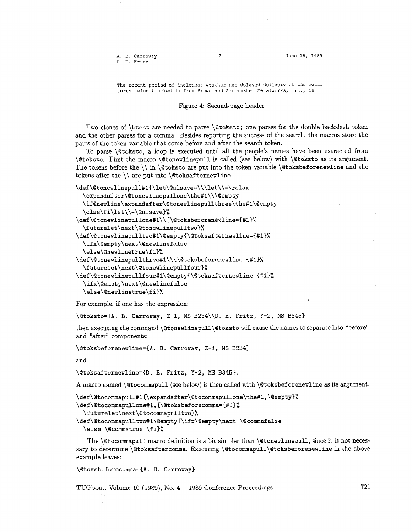A. B. Carroway D. E. Fritz

 $-2-$ 

June 15, 1989

The recent period of inclement weather has delayed delivery of the metal torus being trucked in from Brown and Armbruster Metalworks, Inc., in

#### Figure 4: Second-page header

Two clones of \btest are needed to parse \Qtoksto; one parses for the double backslash token and the other parses for a comma. Besides reporting the success of the search, the macros store the parts of the token variable that come before and after the search token.

To parse \Qtoksto, a loop is executed until all the people's names have been extracted from \@toksto. First the macro \@tonewlinepull is called (see below) with \Qtoksto as its argument. The tokens before the  $\iota \in \mathcal{A}$  are put into the token variable  $\exists$  toksbeforenewline and the tokens after the  $\setminus$  are put into  $\&$ safternewline.

```
\def\@tonewlinepull#1{\let\@nlsave=\\\let\\=\relax
```
**\expandafter\@tonewlinepullone\the#l\\\@empty** 

**\ifQnewline\expandafter\@tonewlinepullthree\the#1\Qempty** 

```
\else\fi\let\\=\@nlsave}%
```

```
\def\@tonewlinepullone#1\\C\Qtoksbeforenewline={#l~%
```

```
\futurelet\next\Qtonewlinepulltwo)%
```

```
\def\@tonewlinepulltwo#1\@empty{\@toksafternewline={#1}%
```

```
\ifx\@empty\next\@newlinefalse
```

```
\else\Qnewlinetrue\f i)%
```

```
\def\Qtonewlinepullthree#1\\{\@toksbeforenewline={#l)%
```

```
\futurelet\next\@tonewlinepullfour)%
```

```
\def\Qtonewlinepullfour#1\Qempty(\@toksafternewline={#l)%
```

```
\ifx\@empty\next\@newlinefalse 
\else\@newlinetrue\fi)%
```
For example, if one has the expression:

\Qtoksto={A. B. Carroway, Z-1, MS B234\\D. E. Fritz, Y-2, MS B345)

then executing the command \@tonewlinepull\@toksto will cause the names to separate into "before" and "after" components:

\@toksbeforenewline={A. B. Carroway, Z-1, MS B234}

and

\@toksafternewline={D. E. Fritz, Y-2, MS B345)

**A** macro named \@tocommapull (see below) is then called with \@toksbef orenewline as its argument.

```
\def\@tocommapull#1{\expandafter\@tocommapullone\the#1,\@empty}%
```

```
\def\@tocommapullone#1,{\@toksbeforecomma={#1}%
```

```
\futurelet\next\@tocommapulltwo}%
```
\def\@tocommapulltwo#1\@empty{\ifx\@empty\next \@commafalse

\else \@commatrue \fi}%

The \@tocommapull macro definition is a bit simpler than \@tonewlinepull, since it is not necessary to determine \@toksaftercomma. Executing **\@tocommapull\@toksbeforenewline** in the above example leaves:

```
\@toksbeforecomma={A. B. Carroway]
```
TUGboat, Volume 10 (1989), No.  $4 - 1989$  Conference Proceedings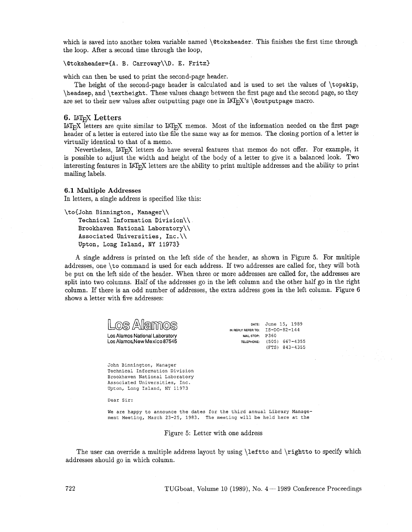which is saved into another token variable named \@toksheader. This finishes the first time through the loop. After a second time through the loop,

#### \@toksheader={A. B. Carroway\\D. E. Fritz}

which can then be used to print the second-page header.

The height of the second-page header is calculated and is used to set the values of \topskip, \headsep, and \textheight. These values change between the first page and the second page, so they are set to their new values after outputting page one in  $\text{Lipx's} \otimes \text{outputpage macro}.$ 

## **6.**  $M_{E}X$  Letters

 $\text{Lipx}$  letters are quite similar to  $\text{Lipx}$  memos. Most of the information needed on the first page header of a letter is entered into the file the same way as for memos. The closing portion of a letter is virtually identical to that of a memo.

Nevertheless, UTEX letters do have several features that memos do not offer. For example, it is possible to adjust the width and height of the body of a letter to give it a balanced look. Two interesting features in IAT<sub>E</sub>X letters are the ability to print multiple addresses and the ability to print mailing labels.

#### 6.1 **Multiple Addresses**

In letters, a single address is specified like this:

```
\to(John Binnington, Manager\\
```

```
Technical Information Division\\ 
Brookhaven National Laboratory\\ 
Associated Universities, Inc.\\ 
Upton, Long Island, NY 11973)
```
A single address is printed on the left side of the header, as shown in Figure 5. For multiple addresses, one \to command is used for each address. If two addresses are called for, they will both be put on the left side of the header. When three or more addresses are called for, the addresses are split into two columns. Half of the addresses go in the left column and the other half go in the right column. If there is an odd number of addresses, the extra address goes in the left column. Figure 6 shows a letter with five addresses:

| OS Alamos<br>Los Alamos National Laboratory<br>Los Alamos New Mexico 87545                   | DATE:<br>IN REPLY REFER TO:<br>MAIL STOP:<br>TELEPHONE: | June 15, 1989<br>$IS-DO-82-144$<br>P360<br>667-4355<br>(505)<br>(FTS) 843-4355 |
|----------------------------------------------------------------------------------------------|---------------------------------------------------------|--------------------------------------------------------------------------------|
| John Binnington, Manager<br>Technical Information Division<br>Brookhaven National Laboratory |                                                         |                                                                                |

Dear Sir:

Associated Universities, Inc. Upton, Long Island, NY 11973

We are happy to announce the dates for the third annual Library Management Meeting, March 23-25, 1983. The meeting will **be** held here at the

#### Figure 5: Letter with one address

The user can override a multiple address layout by using \leftto and \rightto to specify which addresses should go in which column.

**722** TUGboat, Volume 10 (1989), No. 4- 1989 Conference Proceedings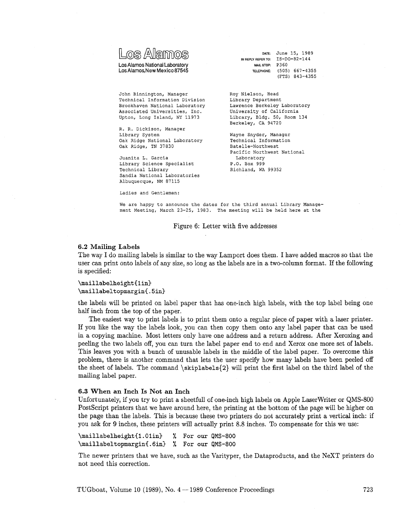| Los Alamos                     |
|--------------------------------|
| Los Alamos National Laboratory |

Los Alamos, New Mexico 87545

DATE: June 15, 1989 IN REPLY REFER TO: IS-DO-82-144 MAIL STOP: P360 TELEPHONE: (505) 667-4355 (FTS) 843-4355

John Binnington, Manager Technical Information Division Brookhaven National Laboratory Associated Universities, Inc. Upton, Long Island, **NY** 11973

R. R. Dickison, Manager Library System Oak Ridge National Laboratory Oak Ridge, TN 37830

Juanita L. Garcia Library Science Specialist Technical Library Sandia National Laboratories Albuquerque, NM 87115

Ladies and Gentlemen:

Roy Nielson, Head Library Department Lawrence Berkeley Laboratory University of California Library, Bldg. 50, Room 134 Berkeley, CA 94720

Wayne Snyder, Manager Technical Information Batelle-Northwest Pacific Northwest National Laboratory P.O. Box 999 Richland, WA 99352

We are happy to announce the dates for the third annual Library Management Meeting, March 23-25, 1983. The meeting will be held here at the

Figure 6: Letter with five addresses

### **6.2 Mailing Labels**

The way **I** do mailing labels is similar to the way Lamport does them. I have added macros so that the user can print onto labels of any size, so long as the labels are in a two-column format. If the following is specified:

\maillabelheight{1in} \maillabeltopmargin{.5in}

the labels will be printed on label paper that has one-inch high labels, with the top label being one half inch from the top of the paper.

The easiest way to print labels is to print them onto a regular piece of paper with a laser printer. If you like the way the labels look, you can then copy them onto any label paper that can be used in a copying machine. Most letters only have one address and a return address. After Xeroxing and peeling the two labels off, you can turn the label paper end to end and Xerox one more set of labels. This leaves you with a bunch of unusable labels in the middle of the label paper. To overcome this problem, there is another command that lets the user specify how many labels have been peeled off the sheet of labels. The command **\skiplabels{2)** will print the first label on the third label of the mailing label paper.

#### **6.3 When an Inch Is Not an Inch**

Unfortunately, if you try to print a sheetfull of one-inch high labels on Apple Laserwriter or QMS-800 PostScript printers that we have around here, the printing at the bottom of the page will be higher on the page than the labels. This is because these two printers do not accurately print a vertical inch: if you ask for **9** inches, these printers will actually print 8.8 inches. To compensate for this we use:

**\maillabelheight{l.Olin)** % **For our QMS-800 \maillabeltopmargin{.6in)** % **For our QMS-800** 

The newer printers that we have, such as the Varityper, the Dataproducts, and the NeXT printers do not need this correction.

TUGboat, Volume 10 (1989), No.  $4-1989$  Conference Proceedings **723**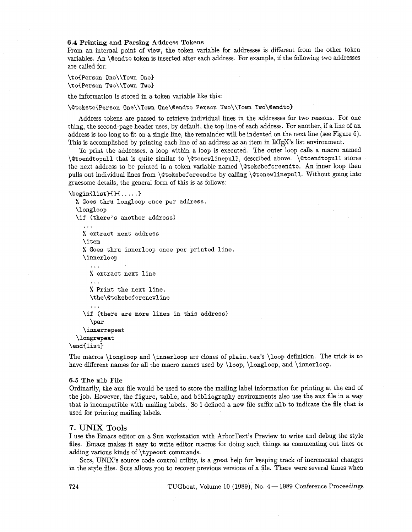#### 6.4 Printing and Parsing Address Tokens

From an internal point of view, the token variable for addresses is different from the other token variables. An \@endto token is inserted after each address. For example, if the following two addresses are called for:

```
\to{Person One\\Town One}
\toIPerson Two\\Town Two)
```
the information is stored in a token variable like this:

\@toksto{Person One\\Town One\@endto Person Two\\Town Two\@endto}

Address tokens are parsed to retrieve individual lines in the addresses for two reasons. For one thing, the second-page header uses, by default, the top line of each address. For another, if a line of an address is too long to fit on a single line, the remainder will be indented on the next line (see Figure 6). This is accomplished by printing each line of an address as an item in  $LAT_FX$ 's list environment.

To print the addresses, a loop within a loop is executed. The outer loop calls a macro named \@toendtopull that is quite similar to \@tonewlinepull, described above. \@toendtopull stores the next address to be printed in a token variable named \@toksbeforeendto. An inner loop then pulls out individual lines from \@toksbef oreendto by calling \@tonewlinepull. Without going into gruesome details, the general form of this is as follows:

```
\begin{min} {\{\dots, \} }
```

```
% Goes thru longloop once per address. 
  \longloop 
  \if (there's another address) 
. . . 
    % extract next address 
    \item 
    % Goes thru innerloop once per printed line. 
    \innerloop 
      ... 
      % extract next line 
      ... 
      % Print the next line. 
      \the\@toksbeforenewline
      ... 
    \if (there are more lines in this address) 
      \par 
    \innerrepeat 
  \longrepeat 
\end(list)
```
The macros \longloop and \innerloop are clones of plain.tex's \loop definition. The trick is to have different names for all the macro names used by  $\lozenge$ ,  $\lozenge$ ,  $\lozenge$ , and  $\in$ 

#### 6.5 The mlb File

Ordinarily, the aux file would be used to store the mailing label information for printing at the end of the job. However, the figure, table, and bibliography environments also use the aux file in a way that is incompatible with mailing labels. So I defined a new file suffix mlb to indicate the file that is used for printing mailing labels.

### **7. UNIX Tools**

I use the Emacs editor on a Sun workstation with ArborText's Preview to write and debug the style files. Emacs makes it easy to write editor macros for doing such things as commenting out lines or adding various kinds of \typeout commands.

Sccs, UNIX's source code control utility, is a great help for keeping track of incremental changes in the style files. Sccs allows you to recover previous versions of a file. There were several times when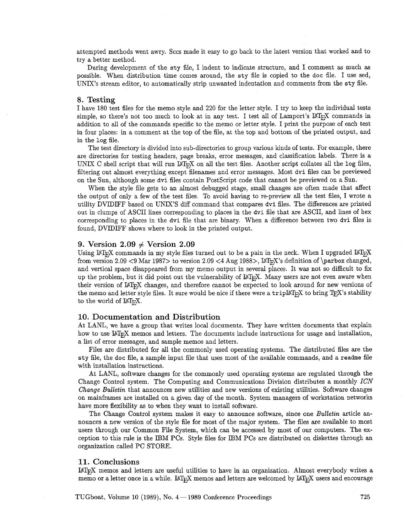attempted methods went awry. Sccs made it easy to go back to the latest version that worked and to try a better method.

During development of the sty file, I indent to indicate structure, and I comment as much as possible. When distribution time comes around, the sty file is copied to the doc file. I use sed, UNIX's stream editor, to automatically strip unwanted indentation and comments from the sty file.

### **8. Testing**

I have 180 test files for the memo style and 220 for the letter style. I try to keep the individual tests simple, so there's not too much to look at in any test. I test all of Lamport's LAT<sub>E</sub>X commands in addition to **all** of the commands specific to the memo or letter style. I print the purpose of each test in four places: in a comment at the top of the file, at the top and bottom of the printed output, and in the log file.

The test directory is divided into sub-directories to group various kinds of tests. For example, there are directories for testing headers, page breaks, error messages, and classification labels. There is a UNIX C shell script that will run  $I\llap{/}\llap{H}_X$  on all the test files. Another script collates all the log files, filtering out almost everything except filenames and error messages. Most dvi files can be previewed on the Sun, although some dvi files contain Postscript code that cannot be previewed on a Sun.

When the style file gets to an almost debugged stage, small changes are often made that affect the output of only a few of the test files. To avoid having to re-preview all the test files, I wrote a utility DVIDIFF based on UNIX'S diff command that compares dvi files. The differences are printed out in clumps of ASCII lines corresponding to places in the dvi file that are ASCII, and lines of hex corresponding to places in the dvi file that are binary. When a difference between two dvi files is found, DVIDIFF shows where to look in the printed output.

# **9.** Version  $2.09 \neq$  Version  $2.09$

Using IAT<sub>E</sub>X commands in my style files turned out to be a pain in the neck. When I upgraded IAT<sub>E</sub>X from version 2.09 <9 Mar 1987> to version 2.09 <4 Aug 1988>,  $\text{MTrX's definition of } \epsilon$  definition of  $\epsilon$ . and vertical space disappeared from my memo output in several places. It was not so difficult to fix up the problem, but it did point out the vulnerability of LAT<sub>F</sub>X. Many users are not even aware when their version of LAT<sub>E</sub>X changes, and therefore cannot be expected to look around for new versions of the memo and letter style files. It sure would be nice if there were a trip $\mathbb{L}$ F<sub>F</sub>X to bring T<sub>E</sub>X's stability to the world of  $\text{LAT}_{\text{F}}X$ .

#### **10. Documentation and Distribution**

At LANL, we have a group that writes local documents. They have written documents that explain how to use IAT<sub>E</sub>X memos and letters. The documents include instructions for usage and installation, a list of error messages, and sample memos and letters.

Files are distributed for **all** the commonly used operating systems. The distributed files are the **sty** file, the doc file, a sample input file that uses most of the available commands, and a **readme** file with installation instructions.

At LANL, software changes for the commonly used operating systems are regulated through the Change Control system. The Computing and Communications Division distributes a monthly *ICN Change Bulletin* that announces new utilities and new versions of existing utilities. Software changes on mainframes are installed on a given day of the month. System managers of workstation networks have more flexibility as to when they want to install software.

The Change Control system makes it easy to announce software, since one *Bulletin* article announces a new version of the style file for most of the major system. The files are available to most users through our Common File System, which can be accessed by most of our computers. The exception to this rule is the IBM PCs. Style files for IBM PCs are distributed on diskettes through an organization called PC STORE.

### **11. Conclusions**

UTEX memos and letters are useful utilities to have in an organization. Almost everybody writes a memo or a letter once in a while. IATEX memos and letters are welcomed by IATEX users and encourage